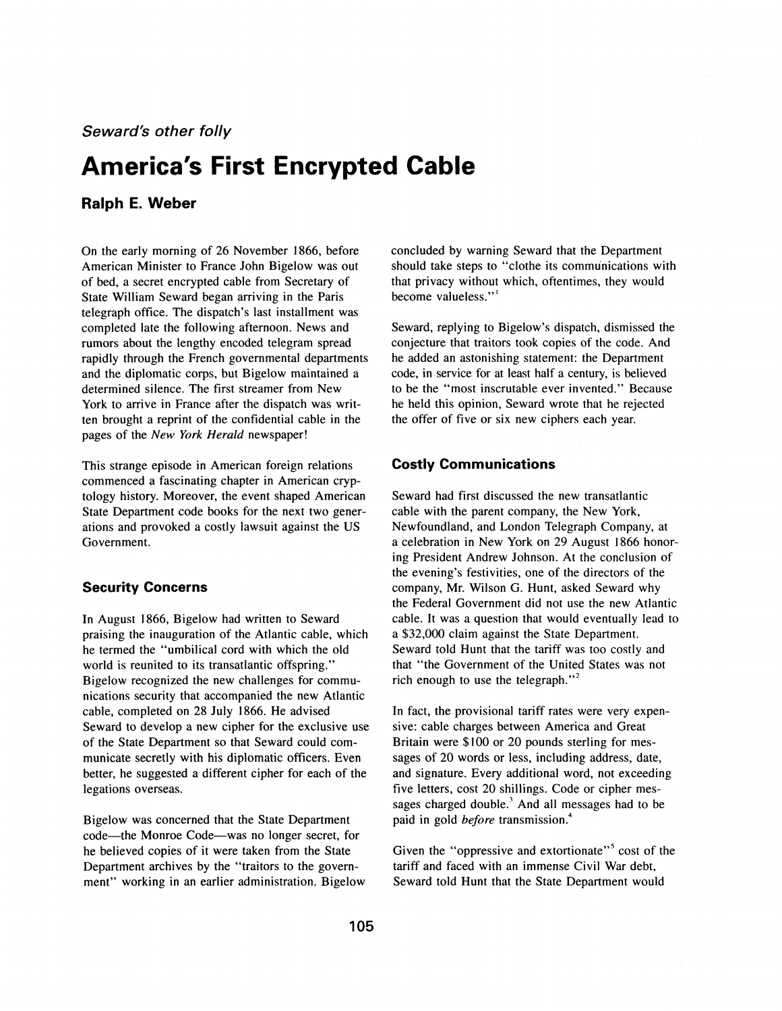**Seward's other folly** 

# **America's First Encrypted Cable**

## **Ralph E. Weber**

On the early morning of 26 November 1866, before American Minister to France John Bigelow was out of bed, a secret encrypted cable from Secretary of State William Seward began arriving in the Paris telegraph office. The dispatch's last installment was completed late the following afternoon. News and rumors about the lengthy encoded telegram spread rapidly through the French governmental departments and the diplomatic corps, but Bigelow maintained a determined silence. The first streamer from New York to arrive in France after the dispatch was written brought a reprint of the confidential cable in the pages of the *New York Herald* newspaper!

This strange episode in American foreign relations commenced a fascinating chapter in American cryptology history. Moreover, the event shaped American State Department code books for the next two generations and provoked a costly lawsuit against the US Government.

#### **Security Concerns**

In August 1866, Bigelow had written to Seward praising the inauguration of the Atlantic cable, which he termed the "umbilical cord with which the old world is reunited to its transatlantic offspring." Bigelow recognized the new challenges for communications security that accompanied the new Atlantic cable, completed on 28 July 1866. He advised Seward to develop a new cipher for the exclusive use of the State Department so that Seward could communicate secretly with his diplomatic officers. Even better, he suggested a different cipher for each of the legations overseas.

Bigelow was concerned that the State Department code-the Monroe Code-was no longer secret, for he believed copies of it were taken from the State Department archives by the "traitors to the government" working in an earlier administration. Bigelow concluded by warning Seward that the Department should take steps to "clothe its communications with that privacy without which, oftentimes, they would become valueless."<sup>1</sup>

Seward, replying to Bigelow's dispatch, dismissed the conjecture that traitors took copies of the code. And he added an astonishing statement: the Department code, in service for at least half a century, is believed to be the "most inscrutable ever invented." Because he held this opinion, Seward wrote that he rejected the offer of five or six new ciphers each year.

#### **Costly Communications**

Seward had first discussed the new transatlantic able with the parent company, the New York, Newfoundland, and London Telegraph Company, at a celebration in New York on 29 August 1866 honorng President Andrew Johnson. At the conclusion of he evening's festivities, one of the directors of the ompany, Mr. Wilson G. Hunt, asked Seward why he Federal Government did not use the new Atlantic able. It was a question that would eventually lead to a \$32,000 claim against the State Department. Seward told Hunt that the tariff was too costly and that "the Government of the United States was not rich enough to use the telegraph."<sup>2</sup>

In fact, the provisional tariff rates were very expensive: cable charges between America and Great Britain were \$100 or 20 pounds sterling for messages of 20 words or less, including address, date, and signature. Every additional word, not exceeding five letters, cost 20 shillings. Code or cipher messages charged double. $3$  And all messages had to be paid in gold *before* transmission.<sup>4</sup>

Given the "oppressive and extortionate"<sup>5</sup> cost of the tariff and faced with an immense Civil War debt, Seward told Hunt that the State Department would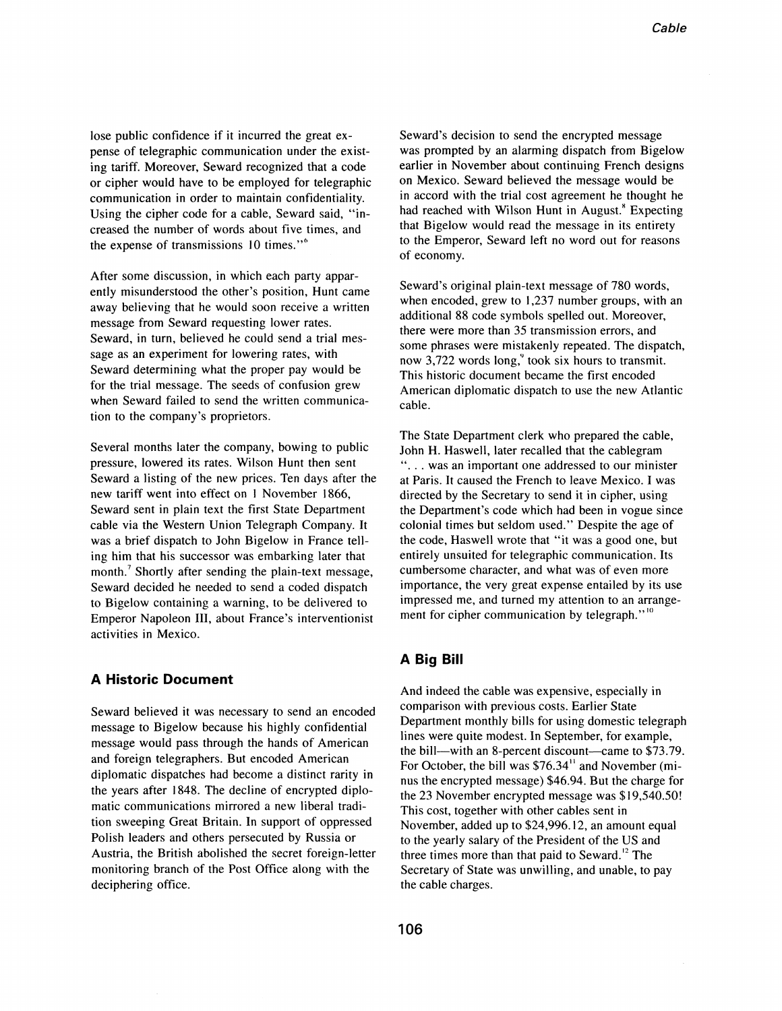lose public confidence if it incurred the great expense of telegraphic communication under the existing tariff. Moreover, Seward recognized that a code or cipher would have to be employed for telegraphic communication in order to maintain confidentiality. Using the cipher code for a cable, Seward said, "increased the number of words about five times, and the expense of transmissions 10 times."<sup>6</sup>

After some discussion, in which each party apparently misunderstood the other's position, Hunt came away believing that he would soon receive a written message from Seward requesting lower rates. Seward, in turn, believed he could send a trial message as an experiment for lowering rates, with Seward determining what the proper pay would be for the trial message. The seeds of confusion grew when Seward failed to send the written communication to the company's proprietors.

Several months later the company, bowing to public pressure, lowered its rates. Wilson Hunt then sent Seward a listing of the new prices. Ten days after the new tariff went into effect on 1 November 1866, Seward sent in plain text the first State Department cable via the Western Union Telegraph Company. It was a brief dispatch to John Bigelow in France telling him that his successor was embarking later that month.<sup>7</sup> Shortly after sending the plain-text message, Seward decided he needed to send a coded dispatch to Bigelow containing a warning, to be delivered to Emperor Napoleon III, about France's interventionist activities in Mexico.

#### **A Historic Document**

Seward believed it was necessary to send an encoded message to Bigelow because his highly confidential message would pass through the hands of American and foreign telegraphers. But encoded American diplomatic dispatches had become a distinct rarity in the years after 1848. The decline of encrypted diplomatic communications mirrored a new liberal tradition sweeping Great Britain. In support of oppressed Polish leaders and others persecuted by Russia or Austria, the British abolished the secret foreign-letter monitoring branch of the Post Office along with the deciphering office.

Seward's decision to send the encrypted message was prompted by an alarming dispatch from Bigelow earlier in November about continuing French designs on Mexico. Seward believed the message would be in accord with the trial cost agreement he thought he had reached with Wilson Hunt in August.<sup>8</sup> Expecting that Bigelow would read the message in its entirety to the Emperor, Seward left no word out for reasons of economy.

Seward's original plain-text message of 780 words, when encoded, grew to 1,237 number groups, with an additional 88 code symbols spelled out. Moreover, there were more than 35 transmission errors, and some phrases were mistakenly repeated. The dispatch, now 3,722 words  $long,$  took six hours to transmit. This historic document became the first encoded American diplomatic dispatch to use the new Atlantic cable.

The State Department clerk who prepared the cable, John H. Haswell, later recalled that the cablegram "... was an important one addressed to our minister at Paris. It caused the French to leave Mexico. I was directed by the Secretary to send it in cipher, using the Department's code which had been in vogue since colonial times but seldom used." Despite the age of the code, Haswell wrote that "it was a good one, but entirely unsuited for telegraphic communication. Its cumbersome character, and what was of even more importance, the very great expense entailed by its use impressed me, and turned my attention to an arrangement for cipher communication by telegraph."<sup>10</sup>

### **A Big Bill**

And indeed the cable was expensive, especially in comparison with previous costs. Earlier State Department monthly bills for using domestic telegraph lines were quite modest. In September, for example, the bill--with an 8-percent discount-came to \$73.79. For October, the bill was  $$76.34"$  and November (minus the encrypted message) \$46.94. But the charge for the 23 November encrypted message was \$19,540.50! This cost, together with other cables sent in November, added up to \$24,996.12, an amount equal to the yearly salary of the President of the US and three times more than that paid to Seward.<sup>12</sup> The Secretary of State was unwilling, and unable, to pay the cable charges.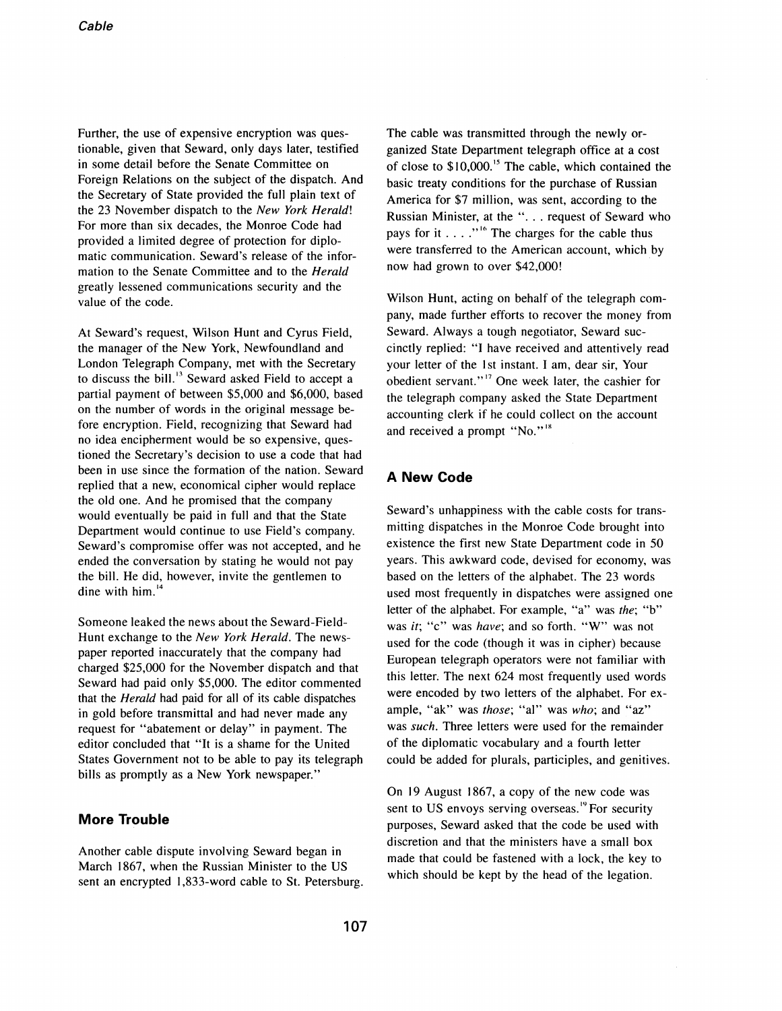Further, the use of expensive encryption was questionable, given that Seward, only days later, testified in some detail before the Senate Committee on Foreign Relations on the subject of the dispatch. And the Secretary of State provided the full plain text of the 23 November dispatch to the *New York Herald!*  For more than six decades, the Monroe Code had provided a limited degree of protection for diplomatic communication. Seward's release of the information to the Senate Committee and to the *Herald*  greatly lessened communications security and the value of the code.

At Seward's request, Wilson Hunt and Cyrus Field, the manager of the New York, Newfoundland and London Telegraph Company, met with the Secretary to discuss the bill.<sup>13</sup> Seward asked Field to accept a partial payment of between \$5,000 and \$6,000, based on the number of words in the original message before encryption. Field, recognizing that Seward had no idea encipherment would be so expensive, questioned the Secretary's decision to use a code that had been in use since the formation of the nation. Seward replied that a new, economical cipher would replace the old one. And he promised that the company would eventually be paid in full and that the State Department would continue to use Field's company. Seward's compromise offer was not accepted, and he ended the conversation by stating he would not pay the bill. He did, however, invite the gentlemen to dine with  $him.$ <sup>14</sup>

Someone leaked the news about the Seward-Field-Hunt exchange to the *New York Herald.* The newspaper reported inaccurately that the company had charged \$25,000 for the November dispatch and that Seward had paid only \$5,000. The editor commented that the *Herald* had paid for all of its cable dispatches in gold before transmittal and had never made any request for "abatement or delay" in payment. The editor concluded that "It is a shame for the United States Government not to be able to pay its telegraph bills as promptly as a New York newspaper."

#### **More Trouble**

Another cable dispute involving Seward began in March 1867, when the Russian Minister to the US sent an encrypted 1,833-word cable to St. Petersburg. The cable was transmitted through the newly organized State Department telegraph office at a cost of close to  $$10,000$ .<sup>15</sup> The cable, which contained the basic treaty conditions for the purchase of Russian America for \$7 million, was sent, according to the Russian Minister, at the "... request of Seward who pays for it  $\dots$  "<sup>16</sup> The charges for the cable thus were transferred to the American account, which by now had grown to over \$42,000!

Wilson Hunt, acting on behalf of the telegraph company, made further efforts to recover the money from Seward. Always a tough negotiator, Seward succinctly replied: "I have received and attentively read your letter of the 1st instant. I am, dear sir, Your obedient servant."<sup>17</sup> One week later, the cashier for the telegraph company asked the State Department accounting clerk if he could collect on the account and received a prompt "No."<sup>18</sup>

#### **A New Code**

Seward's unhappiness with the cable costs for transmitting dispatches in the Monroe Code brought into existence the first new State Department code in 50 years. This awkward code, devised for economy, was based on the letters of the alphabet. The 23 words used most frequently in dispatches were assigned one letter of the alphabet. For example, "a" was *the;* "b" was *it;* "c" was *have;* and so forth. "W" was not used for the code (though it was in cipher) because European telegraph operators were not familiar with this letter; The next 624 most frequently used words were encoded by two letters of the alphabet. For example, "ak" was *those;* "al" was *who;* and "az" was *such.* Three letters were used for the remainder of the diplomatic vocabulary and a fourth letter could be added for plurals, participles, and genitives.

On 19 August 1867, a copy of the new code was sent to US envoys serving overseas.<sup>19</sup> For security purposes, Seward asked that the code be used with discretion and that the ministers have a small box made that could be fastened with a lock, the key to which should be kept by the head of the legation.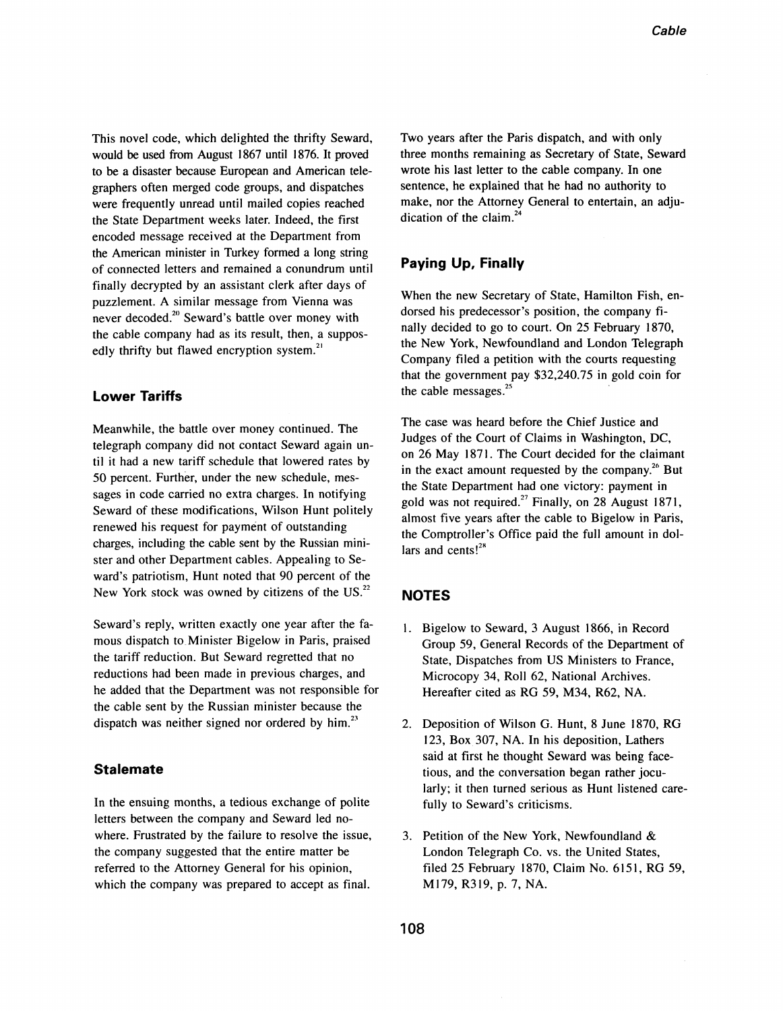This novel code, which delighted the thrifty Seward, would be used from August 1867 until 1876. It proved to be a disaster because European and American telegraphers often merged code groups, and dispatches were frequently unread until mailed copies reached the State Department weeks later. Indeed, the first encoded message received at the Department from the American minister in Turkey formed a long string of connected letters and remained a conundrum until finally decrypted by an assistant clerk after days of puzzlement. A similar message from Vienna was never decoded.<sup>20</sup> Seward's battle over money with the cable company had as its result, then, a supposedly thrifty but flawed encryption system.<sup>21</sup>

#### **Lower Tariffs**

Meanwhile, the battle over money continued. The telegraph company did not contact Seward again until it had a new tariff schedule that lowered rates by 50 percent. Further, under the new schedule, messages in code carried no extra charges. In notifying Seward of these modifications, Wilson Hunt politely renewed his request for payment of outstanding charges, including the cable sent by the Russian minister and other Department cables. Appealing to Seward's patriotism, Hunt noted that 90 percent of the New York stock was owned by citizens of the US.<sup>22</sup>

Seward's reply, written exactly one year after the famous dispatch to Minister Bigelow in Paris, praised the tariff reduction. But Seward regretted that no reductions had been made in previous charges, and he added that the Department was not responsible for the cable sent by the Russian minister because the dispatch was neither signed nor ordered by him.<sup>23</sup>

#### **Stalemate**

In the ensuing months, a tedious exchange of polite letters between the company and Seward led nowhere. Frustrated by the failure to resolve the issue, the company suggested that the entire matter be referred to the Attorney General for his opinion, which the company was prepared to accept as final.

Two years after the Paris dispatch, and with only three months remaining as Secretary of State, Seward wrote his last letter to the cable company. In one sentence, he explained that he had no authority to make, nor the Attorney General to entertain, an adjudication of the claim. $^{24}$ 

#### **Paying Up, Finally**

When the new Secretary of State, Hamilton Fish, endorsed his predecessor's position, the company finally decided to go to court. On 25 February 1870, the New York, Newfoundland and London Telegraph Company filed a petition with the courts requesting that the government pay \$32,240.75 in gold coin for the cable messages.<sup>25</sup>

The case was heard before the Chief Justice and Judges of the Court of Claims in Washington, DC, on 26 May 1871. The Court decided for the claimant in the exact amount requested by the company. $^{26}$  But the State Department had one victory: payment in gold was not required.<sup>27</sup> Finally, on 28 August 1871, almost five years after the cable to Bigelow in Paris, the Comptroller's Office paid the full amount in dollars and cents! $2<sup>28</sup>$ 

#### **NOTES**

- I. Bigelow to Seward, 3 August 1866, in Record Group 59, General Records of the Department of State, Dispatches from US Ministers to France, Microcopy 34, Roll 62, National Archives. Hereafter cited as RG 59, M34, R62, NA.
- 2. Deposition of Wilson G. Hunt, 8 June 1870, RG 123, Box 307, NA. In his deposition, Lathers said at first he thought Seward was being facetious, and the conversation began rather jocularly; it then turned serious as Hunt listened carefully to Seward's criticisms.
- 3. Petition of the New York, Newfoundland & London Telegraph Co. vs. the United States, filed 25 February 1870, Claim No. 6151, RG 59, M179, R319, p. 7, NA.